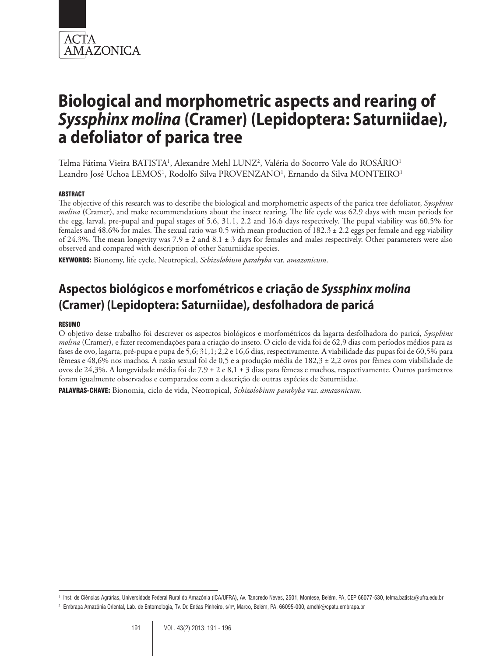

# **Biological and morphometric aspects and rearing of**  *Syssphinx molina* **(Cramer) (Lepidoptera: Saturniidae), a defoliator of parica tree**

Telma Fátima Vieira BATISTA<sup>1</sup>, Alexandre Mehl LUNZ<sup>2</sup>, Valéria do Socorro Vale do ROSÁRIO<sup>1</sup> Leandro José Uchoa LEMOS<sup>1</sup>, Rodolfo Silva PROVENZANO<sup>1</sup>, Ernando da Silva MONTEIRO<sup>1</sup>

#### ABSTRACT

The objective of this research was to describe the biological and morphometric aspects of the parica tree defoliator, *Syssphinx molina* (Cramer), and make recommendations about the insect rearing. The life cycle was 62.9 days with mean periods for the egg, larval, pre-pupal and pupal stages of 5.6, 31.1, 2.2 and 16.6 days respectively. The pupal viability was 60.5% for females and 48.6% for males. The sexual ratio was 0.5 with mean production of 182.3 ± 2.2 eggs per female and egg viability of 24.3%. The mean longevity was  $7.9 \pm 2$  and  $8.1 \pm 3$  days for females and males respectively. Other parameters were also observed and compared with description of other Saturniidae species.

KEYWORDS: Bionomy, life cycle, Neotropical, *Schizolobium parahyba* var. *amazonicum*.

# **Aspectos biológicos e morfométricos e criação de** *Syssphinx molina* **(Cramer) (Lepidoptera: Saturniidae), desfolhadora de paricá**

#### RESUMO

O objetivo desse trabalho foi descrever os aspectos biológicos e morfométricos da lagarta desfolhadora do paricá, *Syssphinx molina* (Cramer), e fazer recomendações para a criação do inseto. O ciclo de vida foi de 62,9 dias com períodos médios para as fases de ovo, lagarta, pré-pupa e pupa de 5,6; 31,1; 2,2 e 16,6 dias, respectivamente. A viabilidade das pupas foi de 60,5% para fêmeas e 48,6% nos machos. A razão sexual foi de 0,5 e a produção média de 182,3 ± 2,2 ovos por fêmea com viabilidade de ovos de 24,3%. A longevidade média foi de 7,9 ± 2 e 8,1 ± 3 dias para fêmeas e machos, respectivamente. Outros parâmetros foram igualmente observados e comparados com a descrição de outras espécies de Saturniidae.

PALAVRAS-CHAVE: Bionomia, ciclo de vida, Neotropical, *Schizolobium parahyba* var. *amazonicum*.

<sup>1</sup> Inst. de Ciências Agrárias, Universidade Federal Rural da Amazônia (ICA/UFRA), Av. Tancredo Neves, 2501, Montese, Belém, PA, CEP 66077-530, telma.batista@ufra.edu.br

<sup>°</sup> Embrapa Amazônia Oriental, Lab. de Entomologia, Tv. Dr. Enéas Pinheiro, s/nº, Marco, Belém, PA, 66095-000, amehl@cpatu.embrapa.br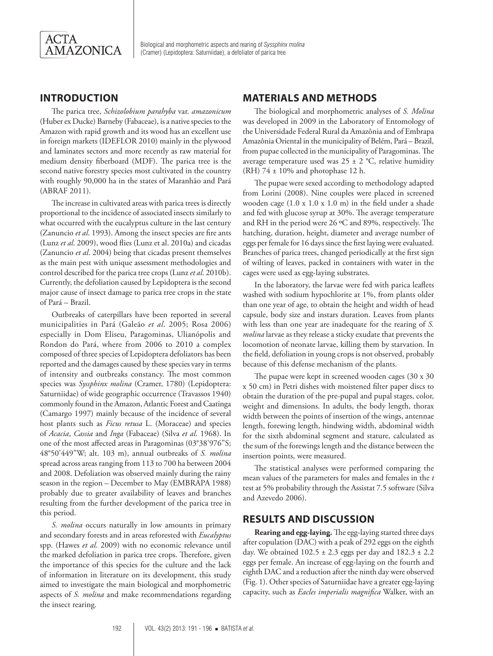

Biological and morphometric aspects and rearing of *Syssphinx molina* (Cramer) (Lepidoptera: Saturniidae), a defoliator of parica tree

# **INTRODUCTION**

The parica tree, *Schizolobium parahyba* var. *amazonicum* (Huber ex Ducke) Barneby (Fabaceae), is a native species to the Amazon with rapid growth and its wood has an excellent use in foreign markets (IDEFLOR 2010) mainly in the plywood and laminates sectors and more recently as raw material for medium density fiberboard (MDF). The parica tree is the second native forestry species most cultivated in the country with roughly 90,000 ha in the states of Maranhão and Pará (ABRAF 2011).

The increase in cultivated areas with parica trees is directly proportional to the incidence of associated insects similarly to what occurred with the eucalyptus culture in the last century (Zanuncio *et al*. 1993). Among the insect species are fire ants (Lunz *et al*. 2009), wood flies (Lunz et al. 2010a) and cicadas (Zanuncio *et al*. 2004) being that cicadas present themselves as the main pest with unique assessment methodologies and control described for the parica tree crops (Lunz *et al*. 2010b). Currently, the defoliation caused by Lepidoptera is the second major cause of insect damage to parica tree crops in the state of Pará – Brazil.

Outbreaks of caterpillars have been reported in several municipalities in Pará (Galeão *et al*. 2005; Rosa 2006) especially in Dom Eliseu, Paragominas, Ulianópolis and Rondon do Pará, where from 2006 to 2010 a complex composed of three species of Lepidoptera defoliators has been reported and the damages caused by these species vary in terms of intensity and outbreaks constancy. The most common species was *Syssphinx molina* (Cramer, 1780) (Lepidoptera: Saturniidae) of wide geographic occurrence (Travassos 1940) commonly found in the Amazon, Atlantic Forest and Caatinga (Camargo 1997) mainly because of the incidence of several host plants such as *Ficus retusa* L. (Moraceae) and species of *Acacia*, *Cassia* and *Inga* (Fabaceae) (Silva *et al*. 1968). In one of the most affected areas in Paragominas (03°38'976"S; 48°50'449"W; alt. 103 m), annual outbreaks of *S. molina* spread across areas ranging from 113 to 700 ha between 2004 and 2008. Defoliation was observed mainly during the rainy season in the region – December to May (EMBRAPA 1988) probably due to greater availability of leaves and branches resulting from the further development of the parica tree in this period.

*S. molina* occurs naturally in low amounts in primary and secondary forests and in areas reforested with *Eucalyptus* spp. (Hawes *et al*. 2009) with no economic relevance until the marked defoliation in parica tree crops. Therefore, given the importance of this species for the culture and the lack of information in literature on its development, this study aimed to investigate the main biological and morphometric aspects of *S. molina* and make recommendations regarding the insect rearing.

### **MATERIALS AND METHODS**

The biological and morphometric analyses of *S. Molina* was developed in 2009 in the Laboratory of Entomology of the Universidade Federal Rural da Amazônia and of Embrapa Amazônia Oriental in the municipality of Belém, Pará – Brazil, from pupae collected in the municipality of Paragominas. The average temperature used was  $25 \pm 2$  °C, relative humidity (RH) 74 ± 10% and photophase 12 h.

The pupae were sexed according to methodology adapted from Lorini (2008). Nine couples were placed in screened wooden cage (1.0 x 1.0 x 1.0 m) in the field under a shade and fed with glucose syrup at 30%. The average temperature and RH in the period were 26 ºC and 89%, respectively. The hatching, duration, height, diameter and average number of eggs per female for 16 days since the first laying were evaluated. Branches of parica trees, changed periodically at the first sign of wilting of leaves, packed in containers with water in the cages were used as egg-laying substrates.

In the laboratory, the larvae were fed with parica leaflets washed with sodium hypochlorite at 1%, from plants older than one year of age, to obtain the height and width of head capsule, body size and instars duration. Leaves from plants with less than one year are inadequate for the rearing of *S. molina* larvae as they release a sticky exudate that prevents the locomotion of neonate larvae, killing them by starvation. In the field, defoliation in young crops is not observed, probably because of this defense mechanism of the plants.

The pupae were kept in screened wooden cages (30 x 30 x 50 cm) in Petri dishes with moistened filter paper discs to obtain the duration of the pre-pupal and pupal stages, color, weight and dimensions. In adults, the body length, thorax width between the points of insertion of the wings, antennae length, forewing length, hindwing width, abdominal width for the sixth abdominal segment and stature, calculated as the sum of the forewings length and the distance between the insertion points, were measured.

The statistical analyses were performed comparing the mean values of the parameters for males and females in the *t* test at 5% probability through the Assistat 7.5 software (Silva and Azevedo 2006).

#### **RESULTS AND DISCUSSION**

**Rearing and egg-laying.** The egg-laying started three days after copulation (DAC) with a peak of 292 eggs on the eighth day. We obtained 102.5 ± 2.3 eggs per day and 182.3 ± 2.2 eggs per female. An increase of egg-laying on the fourth and eighth DAC and a reduction after the ninth day were observed (Fig. 1). Other species of Saturniidae have a greater egg-laying capacity, such as *Eacles imperialis magnifica* Walker, with an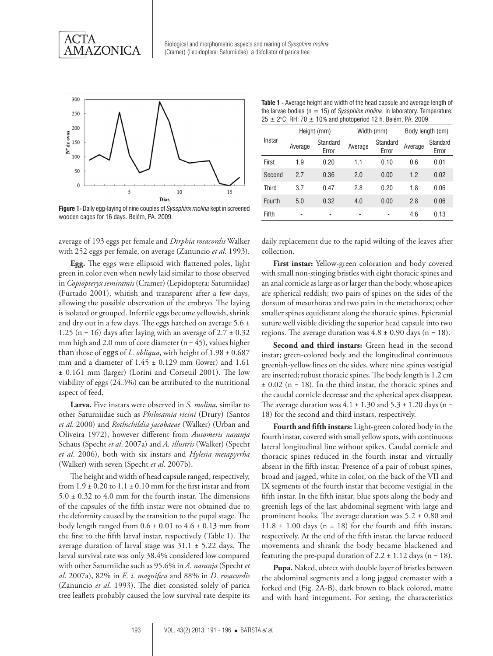

Biological and morphometric aspects and rearing of *Syssphinx molina* (Cramer) (Lepidoptera: Saturniidae), a defoliator of parica tree



**Figure 1-** Daily egg-laying of nine couples of *Syssphinx molina* kept in screened wooden cages for 16 days. Belém, PA. 2009.

average of 193 eggs per female and *Dirphia rosacordis* Walker with 252 eggs per female, on average (Zanuncio *et al*. 1993).

**Egg.** The eggs were ellipsoid with flattened poles, light green in color even when newly laid similar to those observed in *Copiopteryx semiramis* (Cramer) (Lepidoptera: Saturniidae) (Furtado 2001), whitish and transparent after a few days, allowing the possible observation of the embryo. The laying is isolated or grouped. Infertile eggs become yellowish, shrink and dry out in a few days. The eggs hatched on average  $5.6 \pm$ 1.25 (n = 16) days after laying with an average of  $2.7 \pm 0.32$ mm high and 2.0 mm of core diameter ( $n = 45$ ), values higher than those of eggs of *L. obliqua*, with height of  $1.98 \pm 0.687$ mm and a diameter of  $1.45 \pm 0.129$  mm (lower) and  $1.61$ ± 0.161 mm (larger) (Lorini and Corseuil 2001). The low viability of eggs (24.3%) can be attributed to the nutritional aspect of feed.

**Larva.** Five instars were observed in *S. molina*, similar to other Saturniidae such as *Philosamia ricini* (Drury) (Santos *et al*. 2000) and *Rothschildia jacobaeae* (Walker) (Urban and Oliveira 1972), however different from *Automeris naranja*  Schaus (Specht *et al*. 2007a) and *A. illustris* (Walker) (Specht *et al*. 2006), both with six instars and *Hylesia metapyrrha*  (Walker) with seven (Specht *et al*. 2007b).

The height and width of head capsule ranged, respectively, from  $1.9 \pm 0.20$  to  $1.1 \pm 0.10$  mm for the first instar and from  $5.0 \pm 0.32$  to 4.0 mm for the fourth instar. The dimensions of the capsules of the fifth instar were not obtained due to the deformity caused by the transition to the pupal stage. The body length ranged from  $0.6 \pm 0.01$  to  $4.6 \pm 0.13$  mm from the first to the fifth larval instar, respectively (Table 1). The average duration of larval stage was  $31.1 \pm 5.22$  days. The larval survival rate was only 38.4% considered low compared with other Saturniidae such as 95.6% in *A. naranja* (Specht *et al*. 2007a), 82% in *E. i. magnifica* and 88% in *D. rosacordis* (Zanuncio *et al*. 1993). The diet consisted solely of parica tree leaflets probably caused the low survival rate despite its

**Table 1 -** Average height and width of the head capsule and average length of the larvae bodies  $(n = 15)$  of *Syssphinx molina*, in laboratory. Temperature:  $25 \pm 2$ °C; RH: 70  $\pm$  10% and photoperiod 12 h. Belém, PA. 2009.

| Instar | Height (mm) |                   | Width (mm) |                   | Body length (cm) |                   |
|--------|-------------|-------------------|------------|-------------------|------------------|-------------------|
|        | Average     | Standard<br>Error | Average    | Standard<br>Error | Average          | Standard<br>Error |
| First  | 1.9         | 0.20              | 1.1        | 0.10              | 0.6              | 0.01              |
| Second | 2.7         | 0.36              | 2.0        | 0.00              | 1.2              | 0.02              |
| Third  | 3.7         | 0.47              | 2.8        | 0.20              | 1.8              | 0.06              |
| Fourth | 5.0         | 0.32              | 4.0        | 0.00              | 2.8              | 0.06              |
| Fifth  |             |                   |            |                   | 4.6              | 0.13              |

daily replacement due to the rapid wilting of the leaves after collection.

**First instar:** Yellow-green coloration and body covered with small non-stinging bristles with eight thoracic spines and an anal cornicle as large as or larger than the body, whose apices are spherical reddish; two pairs of spines on the sides of the dorsum of mesothorax and two pairs in the metathorax; other smaller spines equidistant along the thoracic spines. Epicranial suture well visible dividing the superior head capsule into two regions. The average duration was  $4.8 \pm 0.90$  days (n = 18).

**Second and third instars:** Green head in the second instar; green-colored body and the longitudinal continuous greenish-yellow lines on the sides, where nine spines vestigial are inserted; robust thoracic spines. The body length is 1.2 cm  $\pm$  0.02 (n = 18). In the third instar, the thoracic spines and the caudal cornicle decrease and the spherical apex disappear. The average duration was  $4.1 \pm 1.30$  and  $5.3 \pm 1.20$  days (n = 18) for the second and third instars, respectively.

**Fourth and fifth instars:** Light-green colored body in the fourth instar, covered with small yellow spots, with continuous lateral longitudinal line without spikes. Caudal cornicle and thoracic spines reduced in the fourth instar and virtually absent in the fifth instar. Presence of a pair of robust spines, broad and jagged, white in color, on the back of the VII and IX segments of the fourth instar that become vestigial in the fifth instar. In the fifth instar, blue spots along the body and greenish legs of the last abdominal segment with large and prominent hooks. The average duration was 5.2 ± 0.80 and  $11.8 \pm 1.00$  days (n = 18) for the fourth and fifth instars, respectively. At the end of the fifth instar, the larvae reduced movements and shrank the body became blackened and featuring the pre-pupal duration of  $2.2 \pm 1.12$  days (n = 18).

**Pupa.** Naked, obtect with double layer of bristles between the abdominal segments and a long jagged cremaster with a forked end (Fig. 2A-B), dark brown to black colored, matte and with hard integument. For sexing, the characteristics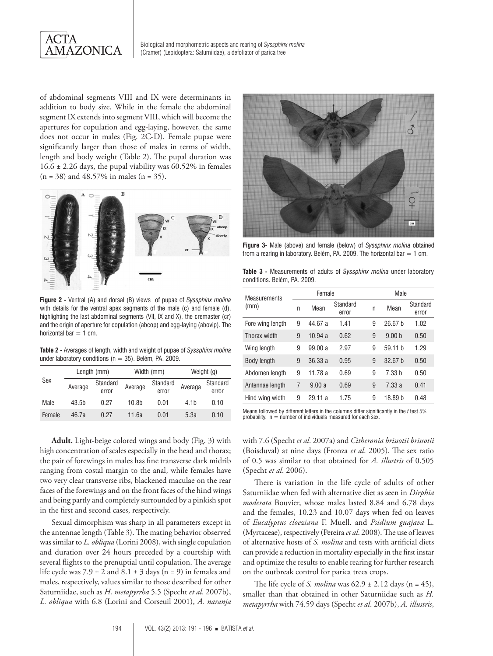

Biological and morphometric aspects and rearing of *Syssphinx molina* (Cramer) (Lepidoptera: Saturniidae), a defoliator of parica tree

of abdominal segments VIII and IX were determinants in addition to body size. While in the female the abdominal segment IX extends into segment VIII, which will become the apertures for copulation and egg-laying, however, the same does not occur in males (Fig. 2C-D). Female pupae were significantly larger than those of males in terms of width, length and body weight (Table 2). The pupal duration was  $16.6 \pm 2.26$  days, the pupal viability was  $60.52\%$  in females  $(n = 38)$  and 48.57% in males  $(n = 35)$ .





**Figure 3-** Male (above) and female (below) of *Syssphinx molina* obtained from a rearing in laboratory. Belém, PA. 2009. The horizontal bar  $= 1$  cm.

| <b>Table 3 -</b> Measurements of adults of Syssphinx molina under laboratory |  |  |  |
|------------------------------------------------------------------------------|--|--|--|
| conditions. Belém, PA. 2009.                                                 |  |  |  |

**Figure 2 -** Ventral (A) and dorsal (B) views of pupae of *Syssphinx molina* with details for the ventral apex segments of the male (c) and female (d), highlighting the last abdominal segments (VII, IX and X), the cremaster (cr) and the origin of aperture for copulation (abcop) and egg-laying (abovip). The horizontal bar  $= 1$  cm.

**Table 2 -** Averages of length, width and weight of pupae of *Syssphinx molina* under laboratory conditions ( $n = 35$ ). Belém, PA. 2009.

| Sex    | Length (mm) |                   | Width (mm) |                   | Weight (g)       |                   |
|--------|-------------|-------------------|------------|-------------------|------------------|-------------------|
|        | Average     | Standard<br>error | Average    | Standard<br>error | Averaga          | Standard<br>error |
| Male   | 43.5b       | 0.27              | 10.8b      | 0.01              | 4.1 <sub>h</sub> | 0.10              |
| Female | 46.7а       | 0.27              | 11.6а      | 0.01              | 5.3a             | 0.10              |

**Adult.** Light-beige colored wings and body (Fig. 3) with high concentration of scales especially in the head and thorax; the pair of forewings in males has fine transverse dark midrib ranging from costal margin to the anal, while females have two very clear transverse ribs, blackened maculae on the rear faces of the forewings and on the front faces of the hind wings and being partly and completely surrounded by a pinkish spot in the first and second cases, respectively.

Sexual dimorphism was sharp in all parameters except in the antennae length (Table 3). The mating behavior observed was similar to *L. obliqua* (Lorini 2008), with single copulation and duration over 24 hours preceded by a courtship with several flights to the prenuptial until copulation. The average life cycle was  $7.9 \pm 2$  and  $8.1 \pm 3$  days (n = 9) in females and males, respectively, values similar to those described for other Saturniidae, such as *H. metapyrrha* 5.5 (Specht *et al*. 2007b), *L. obliqua* with 6.8 (Lorini and Corseuil 2001), *A. naranja* **Measurements** (mm) Female Male <sup>n</sup> Mean Standard error <sup>n</sup> Mean Standard error Fore wing length 9 44.67 a 1.41 9 26.67 b 1.02 Thorax width 9 10.94 a 0.62 9 9.00 b 0.50 Wing length 9 99.00 a 2.97 9 59.11 b 1.29 Body length 9 36.33 a 0.95 9 32.67 b 0.50 Abdomen length 9 11.78 a 0.69 9 7.33 b 0.50 Antennae length 7 9.00 a 0.69 9 7.33 a 0.41 Hind wing width 9 29.11 a 1.75 9 18.89 b 0.48

Means followed by different letters in the columns differ significantly in the *t* test 5% probability. n = number of individuals measured for each sex.

with 7.6 (Specht *et al*. 2007a) and *Citheronia brissotii brissotii* (Boisduval) at nine days (Fronza *et al*. 2005). The sex ratio of 0.5 was similar to that obtained for *A. illustris* of 0.505 (Specht *et al*. 2006).

There is variation in the life cycle of adults of other Saturniidae when fed with alternative diet as seen in *Dirphia moderata* Bouvier, whose males lasted 8.84 and 6.78 days and the females, 10.23 and 10.07 days when fed on leaves of *Eucalyptus cloeziana* F. Muell. and *Psidium guajava* L. (Myrtaceae), respectively (Pereira *et al*. 2008). The use of leaves of alternative hosts of *S. molina* and tests with artificial diets can provide a reduction in mortality especially in the first instar and optimize the results to enable rearing for further research on the outbreak control for parica trees crops.

The life cycle of *S. molina* was  $62.9 \pm 2.12$  days (n = 45), smaller than that obtained in other Saturniidae such as *H. metapyrrha* with 74.59 days (Specht *et al*. 2007b), *A. illustris*,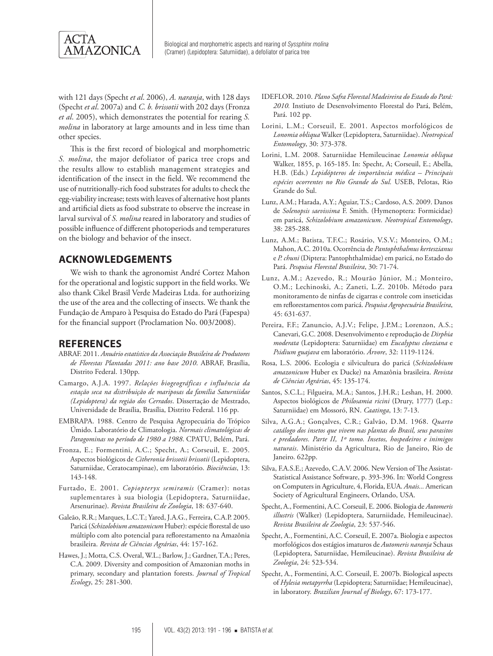

with 121 days (Specht *et al*. 2006), *A. naranja*, with 128 days (Specht *et al*. 2007a) and *C. b. brissotii* with 202 days (Fronza *et al*. 2005), which demonstrates the potential for rearing *S. molina* in laboratory at large amounts and in less time than other species.

This is the first record of biological and morphometric *S. molina*, the major defoliator of parica tree crops and the results allow to establish management strategies and identification of the insect in the field. We recommend the use of nutritionally-rich food substrates for adults to check the egg-viability increase; tests with leaves of alternative host plants and artificial diets as food substrate to observe the increase in larval survival of *S. molina* reared in laboratory and studies of possible influence of different photoperiods and temperatures on the biology and behavior of the insect.

# **ACKNOWLEDGEMENTS**

We wish to thank the agronomist André Cortez Mahon for the operational and logistic support in the field works. We also thank Cikel Brasil Verde Madeiras Ltda. for authorizing the use of the area and the collecting of insects. We thank the Fundação de Amparo à Pesquisa do Estado do Pará (Fapespa) for the financial support (Proclamation No. 003/2008).

#### **REFERENCES**

- ABRAF. 2011. *Anuário estatístico da Associação Brasileira de Produtores de Florestas Plantadas 2011: ano base 2010*. ABRAF, Brasília, Distrito Federal. 130pp.
- Camargo, A.J.A. 1997. *Relações biogeográficas e influência da estação seca na distribuição de mariposas da família Saturniidae (Lepidoptera) da região dos Cerrados*. Dissertação de Mestrado, Universidade de Brasília, Brasília, Distrito Federal. 116 pp.
- EMBRAPA. 1988. Centro de Pesquisa Agropecuária do Trópico Úmido. Laboratório de Climatologia. *Normais climatológicas de Paragominas no período de 1980 a 1988*. CPATU, Belém, Pará.
- Fronza, E.; Formentini, A.C.; Specht, A.; Corseuil, E. 2005. Aspectos biológicos de *Citheronia brissotii brissotii* (Lepidoptera, Saturniidae, Ceratocampinae), em laboratório. *Biociências*, 13: 143-148.
- Furtado, E. 2001. *Copiopteryx semiramis* (Cramer): notas suplementares à sua biologia (Lepidoptera, Saturniidae, Arsenurinae). *Revista Brasileira de Zoologia*, 18: 637-640.
- Galeão, R.R.; Marques, L.C.T.; Yared, J.A.G., Ferreira, C.A.P. 2005. Paricá (*Schizolobium amazonicum* Huber): espécie florestal de uso múltiplo com alto potencial para reflorestamento na Amazônia brasileira. *Revista de Ciências Agrárias*, 44: 157-162.
- Hawes, J.; Motta, C.S. Overal, W.L.; Barlow, J.; Gardner, T.A.; Peres, C.A. 2009. Diversity and composition of Amazonian moths in primary, secondary and plantation forests. *Journal of Tropical Ecology*, 25: 281-300.
- IDEFLOR. 2010. *Plano Safra Florestal Madeireira do Estado do Pará: 2010.* Instiuto de Desenvolvimento Florestal do Pará, Belém, Pará. 102 pp.
- Lorini, L.M.; Corseuil, E. 2001. Aspectos morfológicos de *Lonomia obliqua* Walker (Lepidoptera, Saturniidae). *Neotropical Entomology*, 30: 373-378.
- Lorini, L.M. 2008. Saturniidae Hemileucinae *Lonomia obliqua* Walker, 1855, p. 165-185. In: Specht, A; Corseuil, E.; Abella, H.B. (Eds.) *Lepidópteros de importância médica – Principais espécies ocorrentes no Rio Grande do Sul.* USEB, Pelotas, Rio Grande do Sul.
- Lunz, A.M.; Harada, A.Y.; Aguiar, T.S.; Cardoso, A.S. 2009. Danos de *Solenopsis saevissima* F. Smith. (Hymenoptera: Formicidae) em paricá, *Schizolobium amazonicum*. *Neotropical Entomology*, 38: 285-288.
- Lunz, A.M.; Batista, T.F.C.; Rosário, V.S.V.; Monteiro, O.M.; Mahon, A.C. 2010a. Ocorrência de *Pantophthalmus kerteszianus*  e *P. chuni* (Diptera: Pantophthalmidae) em paricá, no Estado do Pará. *Pesquisa Florestal Brasileira*, 30: 71-74.
- Lunz, A.M.; Azevedo, R.; Mourão Júnior, M.; Monteiro, O.M.; Lechinoski, A.; Zaneti, L.Z. 2010b. Método para monitoramento de ninfas de cigarras e controle com inseticidas em reflorestamentos com paricá. *Pesquisa Agropecuária Brasileira*, 45: 631-637.
- Pereira, F.F.; Zanuncio, A.J.V.; Felipe, J.P.M.; Lorenzon, A.S.; Canevari, G.C. 2008. Desenvolvimento e reprodução de *Dirphia moderata* (Lepidoptera: Saturniidae) em *Eucalyptus cloeziana* e *Psidium guajava* em laboratório. *Árvore*, 32: 1119-1124.
- Rosa, L.S. 2006. Ecologia e silvicultura do paricá (*Schizolobium amazonicum* Huber ex Ducke) na Amazônia brasileira. *Revista de Ciências Agrárias*, 45: 135-174.
- Santos, S.C.L.; Filgueira, M.A.; Santos, J.H.R.; Leshan, H. 2000. Aspectos biológicos de *Philosamia ricini* (Drury, 1777) (Lep.: Saturniidae) em Mossoró, RN. *Caatinga*, 13: 7-13.
- Silva, A.G.A.; Gonçalves, C.R.; Galvão, D.M. 1968. *Quarto catálogo dos insetos que vivem nas plantas do Brasil, seus parasitos e predadores. Parte II, 1º tomo. Insetos, hospedeiros e inimigos naturais*. Ministério da Agricultura, Rio de Janeiro, Rio de Janeiro. 622pp.
- Silva, F.A.S.E.; Azevedo, C.A.V. 2006. New Version of The Assistat-Statistical Assistance Software, p. 393-396. In: World Congress on Computers in Agriculture, 4, Florida, EUA. *Anais...* American Society of Agricultural Engineers, Orlando, USA.
- Specht, A., Formentini, A.C. Corseuil, E. 2006. Biologia de *Automeris illustris* (Walker) (Lepidoptera, Saturniidade, Hemileucinae). *Revista Brasileira de Zoologia*, 23: 537-546.
- Specht, A., Formentini, A.C. Corseuil, E. 2007a. Biologia e aspectos morfológicos dos estágios imaturos de *Automeris naranja* Schaus (Lepidoptera, Saturniidae, Hemileucinae). *Revista Brasileira de Zoologia*, 24: 523-534.
- Specht, A., Formentini, A.C. Corseuil, E. 2007b. Biological aspects of *Hylesia metapyrrha* (Lepidoptera; Saturniidae; Hemileucinae), in laboratory. *Brazilian Journal of Biology*, 67: 173-177.